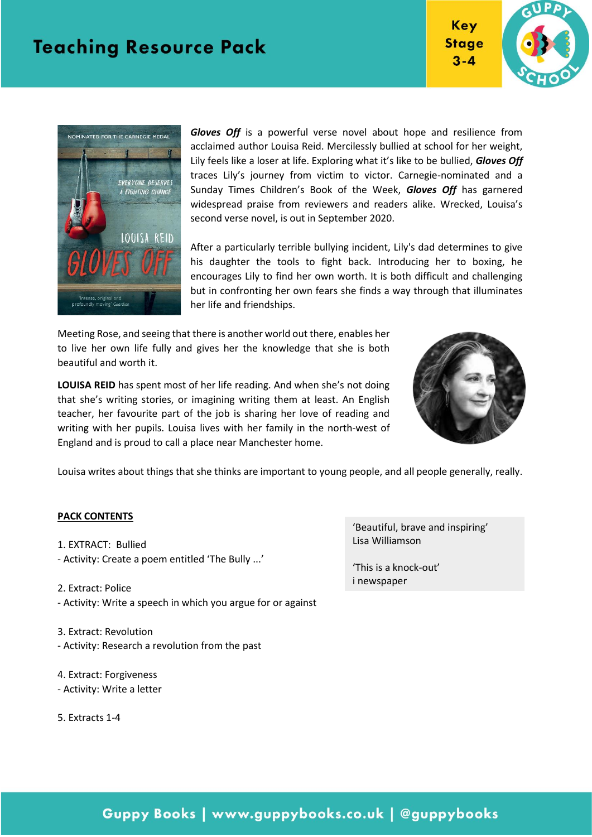





*Gloves Off* is a powerful verse novel about hope and resilience from acclaimed author Louisa Reid. Mercilessly bullied at school for her weight, Lily feels like a loser at life. Exploring what it's like to be bullied, *Gloves Off* traces Lily's journey from victim to victor. Carnegie-nominated and a Sunday Times Children's Book of the Week, *Gloves Off* has garnered widespread praise from reviewers and readers alike. Wrecked, Louisa's second verse novel, is out in September 2020.

After a particularly terrible bullying incident, Lily's dad determines to give his daughter the tools to fight back. Introducing her to boxing, he encourages Lily to find her own worth. It is both difficult and challenging but in confronting her own fears she finds a way through that illuminates her life and friendships.

Meeting Rose, and seeing that there is another world out there, enables her to live her own life fully and gives her the knowledge that she is both beautiful and worth it.

**LOUISA REID** has spent most of her life reading. And when she's not doing that she's writing stories, or imagining writing them at least. An English teacher, her favourite part of the job is sharing her love of reading and writing with her pupils. Louisa lives with her family in the north-west of England and is proud to call a place near Manchester home.



Louisa writes about things that she thinks are important to young people, and all people generally, really.

#### **PACK CONTENTS**

- 1. EXTRACT: Bullied - Activity: Create a poem entitled 'The Bully ...'
- 2. Extract: Police - Activity: Write a speech in which you argue for or against
- 3. Extract: Revolution - Activity: Research a revolution from the past
- 4. Extract: Forgiveness - Activity: Write a letter
- 5. Extracts 1-4

'Beautiful, brave and inspiring' Lisa Williamson

'This is a knock-out' i newspaper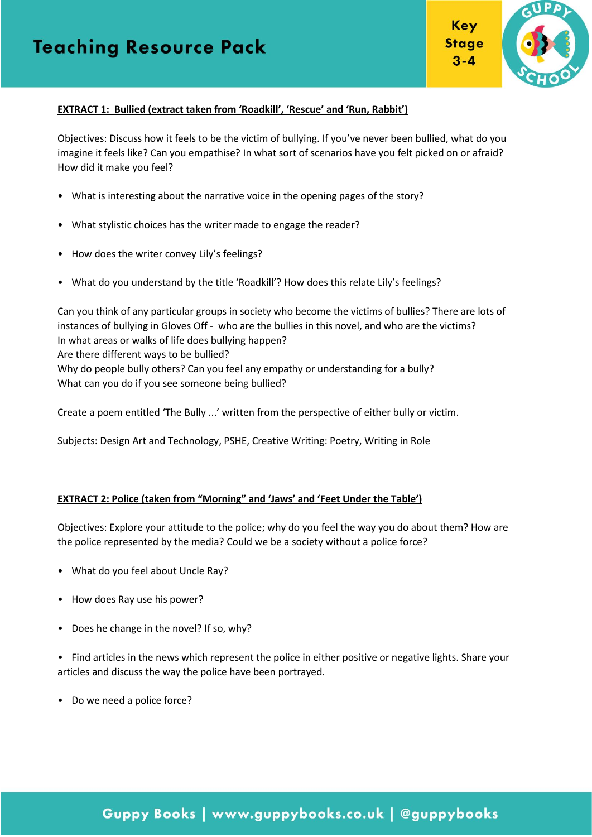

Key

 $3 - 4$ 

#### **EXTRACT 1: Bullied (extract taken from 'Roadkill', 'Rescue' and 'Run, Rabbit')**

Objectives: Discuss how it feels to be the victim of bullying. If you've never been bullied, what do you imagine it feels like? Can you empathise? In what sort of scenarios have you felt picked on or afraid? How did it make you feel?

- What is interesting about the narrative voice in the opening pages of the story?
- What stylistic choices has the writer made to engage the reader?
- How does the writer convey Lily's feelings?
- What do you understand by the title 'Roadkill'? How does this relate Lily's feelings?

Can you think of any particular groups in society who become the victims of bullies? There are lots of instances of bullying in Gloves Off - who are the bullies in this novel, and who are the victims? In what areas or walks of life does bullying happen? Are there different ways to be bullied? Why do people bully others? Can you feel any empathy or understanding for a bully? What can you do if you see someone being bullied?

Create a poem entitled 'The Bully ...' written from the perspective of either bully or victim.

Subjects: Design Art and Technology, PSHE, Creative Writing: Poetry, Writing in Role

#### **EXTRACT 2: Police (taken from "Morning" and 'Jaws' and 'Feet Under the Table')**

Objectives: Explore your attitude to the police; why do you feel the way you do about them? How are the police represented by the media? Could we be a society without a police force?

- What do you feel about Uncle Ray?
- How does Ray use his power?
- Does he change in the novel? If so, why?

• Find articles in the news which represent the police in either positive or negative lights. Share your articles and discuss the way the police have been portrayed.

• Do we need a police force?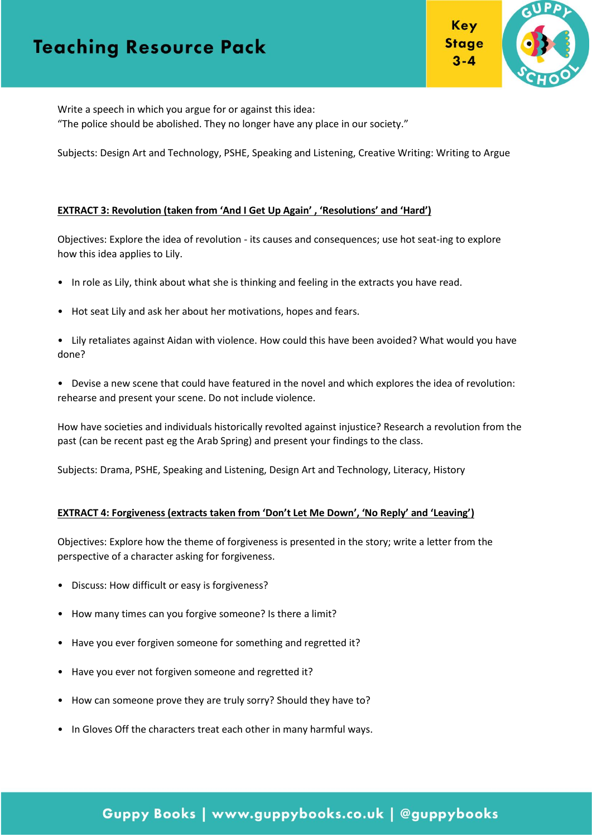

Write a speech in which you argue for or against this idea:

"The police should be abolished. They no longer have any place in our society."

Subjects: Design Art and Technology, PSHE, Speaking and Listening, Creative Writing: Writing to Argue

#### **EXTRACT 3: Revolution (taken from 'And I Get Up Again' , 'Resolutions' and 'Hard')**

Objectives: Explore the idea of revolution - its causes and consequences; use hot seat-ing to explore how this idea applies to Lily.

- In role as Lily, think about what she is thinking and feeling in the extracts you have read.
- Hot seat Lily and ask her about her motivations, hopes and fears.
- Lily retaliates against Aidan with violence. How could this have been avoided? What would you have done?
- Devise a new scene that could have featured in the novel and which explores the idea of revolution: rehearse and present your scene. Do not include violence.

How have societies and individuals historically revolted against injustice? Research a revolution from the past (can be recent past eg the Arab Spring) and present your findings to the class.

Subjects: Drama, PSHE, Speaking and Listening, Design Art and Technology, Literacy, History

#### **EXTRACT 4: Forgiveness (extracts taken from 'Don't Let Me Down', 'No Reply' and 'Leaving')**

Objectives: Explore how the theme of forgiveness is presented in the story; write a letter from the perspective of a character asking for forgiveness.

- Discuss: How difficult or easy is forgiveness?
- How many times can you forgive someone? Is there a limit?
- Have you ever forgiven someone for something and regretted it?
- Have you ever not forgiven someone and regretted it?
- How can someone prove they are truly sorry? Should they have to?
- In Gloves Off the characters treat each other in many harmful ways.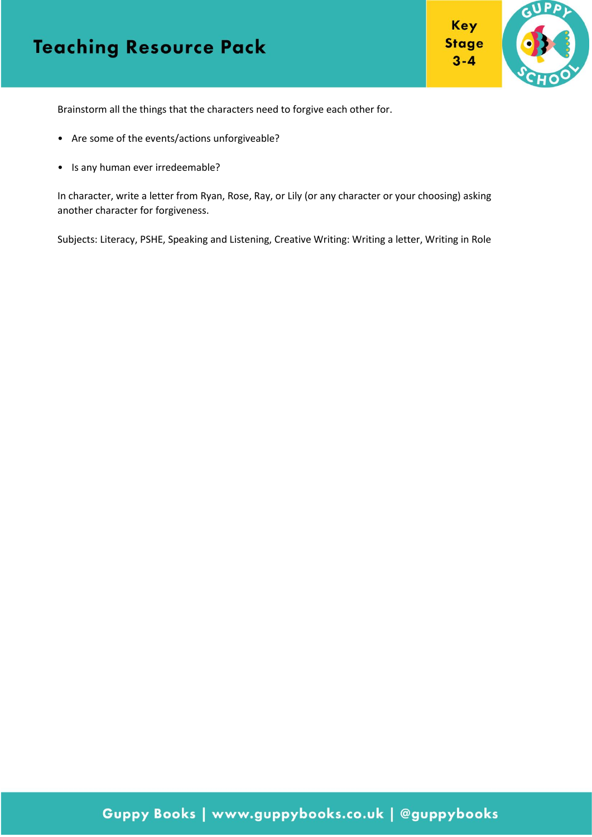

 $3 - 4$ 

Brainstorm all the things that the characters need to forgive each other for.

- Are some of the events/actions unforgiveable?
- Is any human ever irredeemable?

In character, write a letter from Ryan, Rose, Ray, or Lily (or any character or your choosing) asking another character for forgiveness.

Subjects: Literacy, PSHE, Speaking and Listening, Creative Writing: Writing a letter, Writing in Role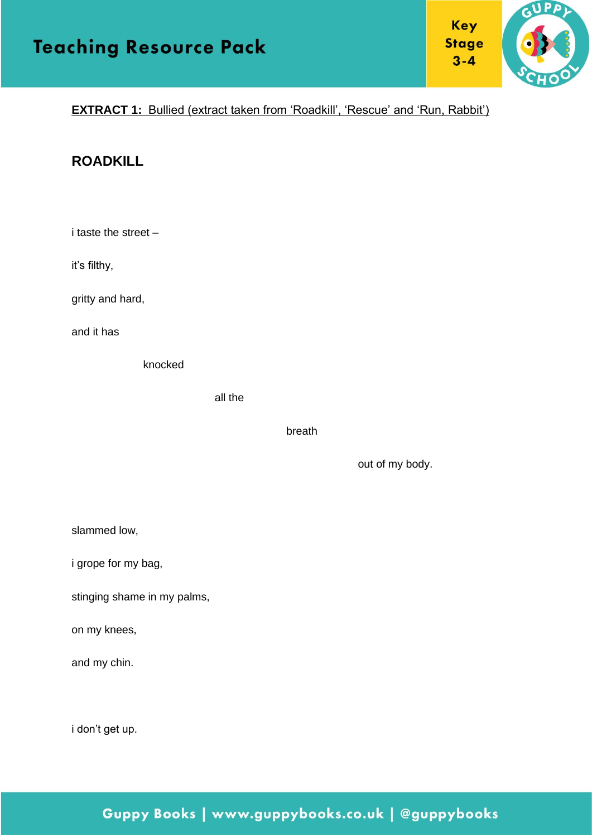

#### **EXTRACT 1:** Bullied (extract taken from 'Roadkill', 'Rescue' and 'Run, Rabbit')

#### **ROADKILL**

i taste the street –

it's filthy,

gritty and hard,

and it has

knocked

all the

breath

out of my body.

| slammed low, |
|--------------|
|--------------|

i grope for my bag,

stinging shame in my palms,

on my knees,

and my chin.

i don't get up.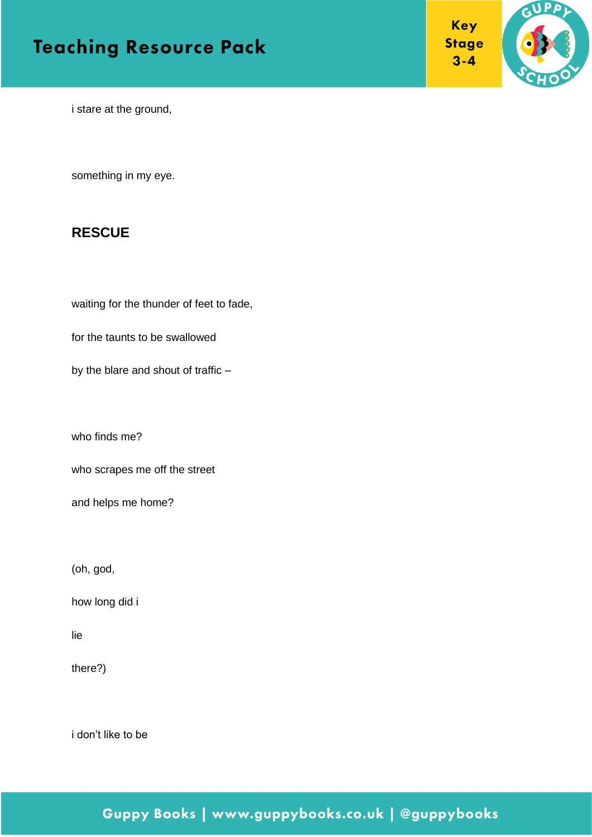



i stare at the ground,

something in my eye.

#### **RESCUE**

waiting for the thunder of feet to fade,

for the taunts to be swallowed

by the blare and shout of traffic –

who finds me?

who scrapes me off the street

and helps me home?

(oh, god,

how long did i

lie

there?)

i don't like to be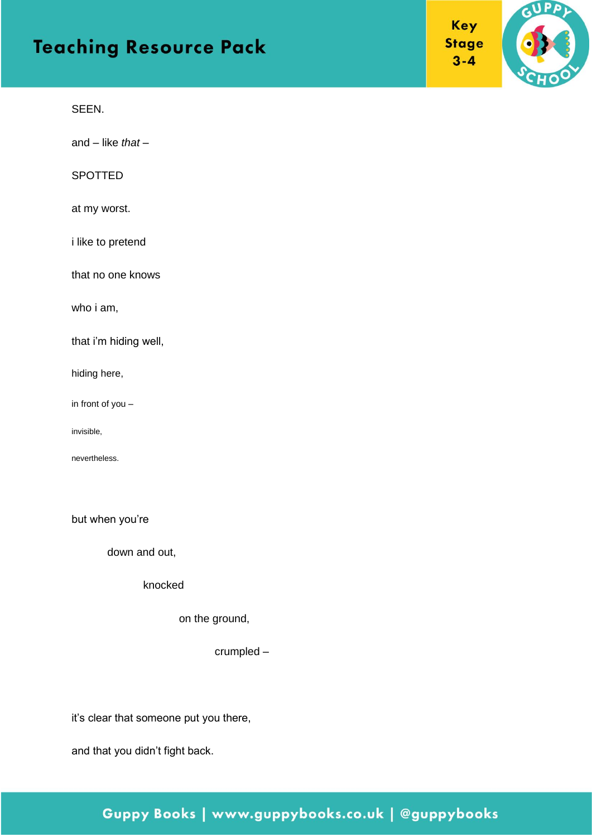#### SEEN.

and – like *that* –

#### SPOTTED

#### at my worst.

i like to pretend

that no one knows

who i am,

that i'm hiding well,

hiding here,

in front of you –

invisible,

nevertheless.

but when you're

down and out,

knocked

on the ground,

crumpled –

it's clear that someone put you there,

and that you didn't fight back.

#### Key **Stage**  $3 - 4$

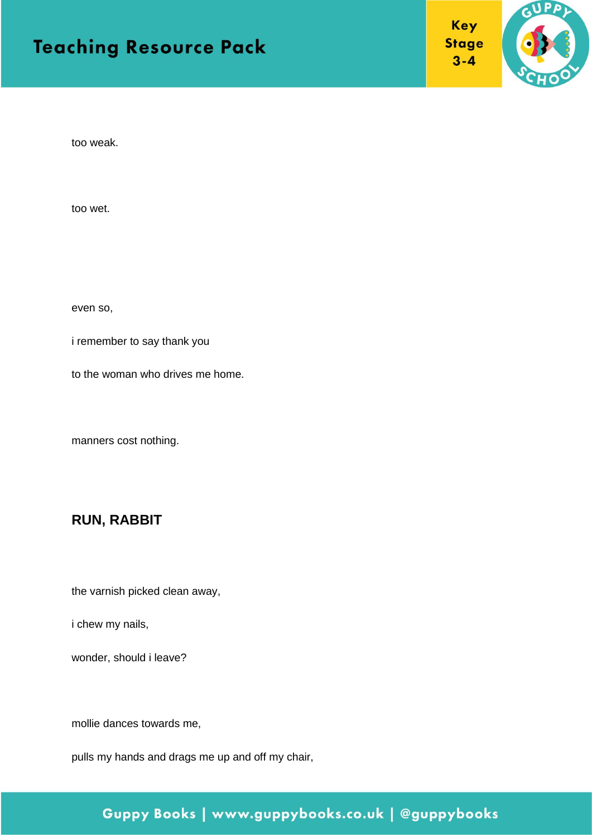



too weak.

too wet.

even so,

i remember to say thank you

to the woman who drives me home.

manners cost nothing.

#### **RUN, RABBIT**

the varnish picked clean away,

i chew my nails,

wonder, should i leave?

mollie dances towards me,

pulls my hands and drags me up and off my chair,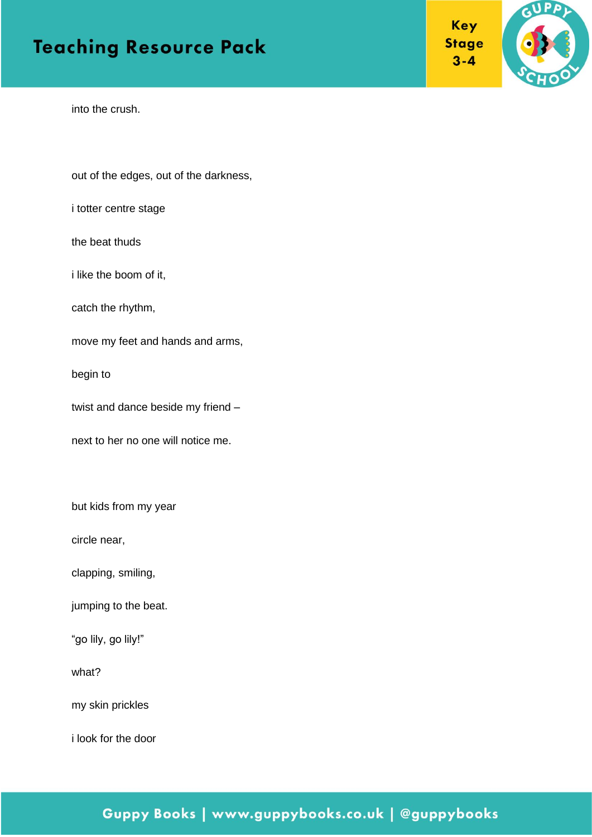



into the crush.

out of the edges, out of the darkness,

i totter centre stage

the beat thuds

i like the boom of it,

catch the rhythm,

move my feet and hands and arms,

begin to

twist and dance beside my friend –

next to her no one will notice me.

but kids from my year

circle near,

clapping, smiling,

jumping to the beat.

"go lily, go lily!"

what?

my skin prickles

i look for the door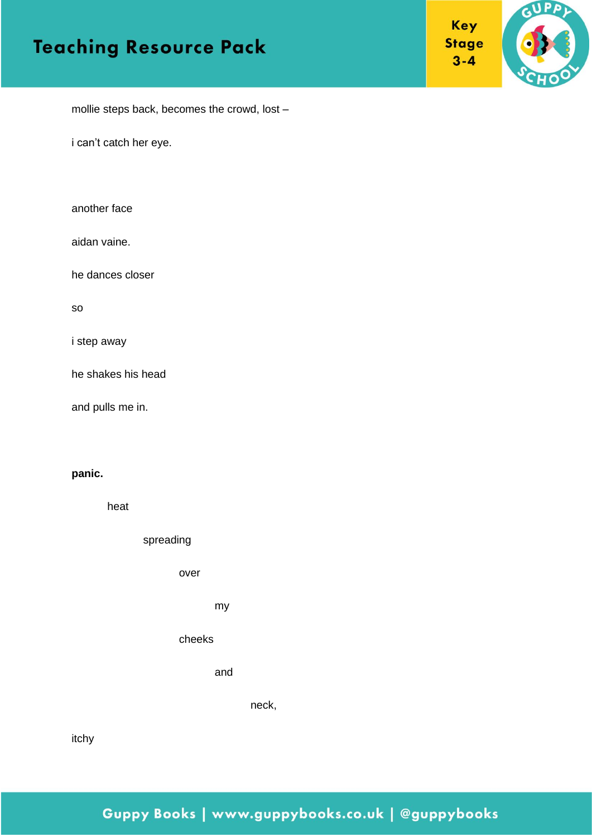



mollie steps back, becomes the crowd, lost –

i can't catch her eye.

| another face |  |
|--------------|--|
|--------------|--|

aidan vaine.

he dances closer

so

i step away

he shakes his head

and pulls me in.

#### **panic.**

heat

spreading

over

my

cheeks

and

neck,

itchy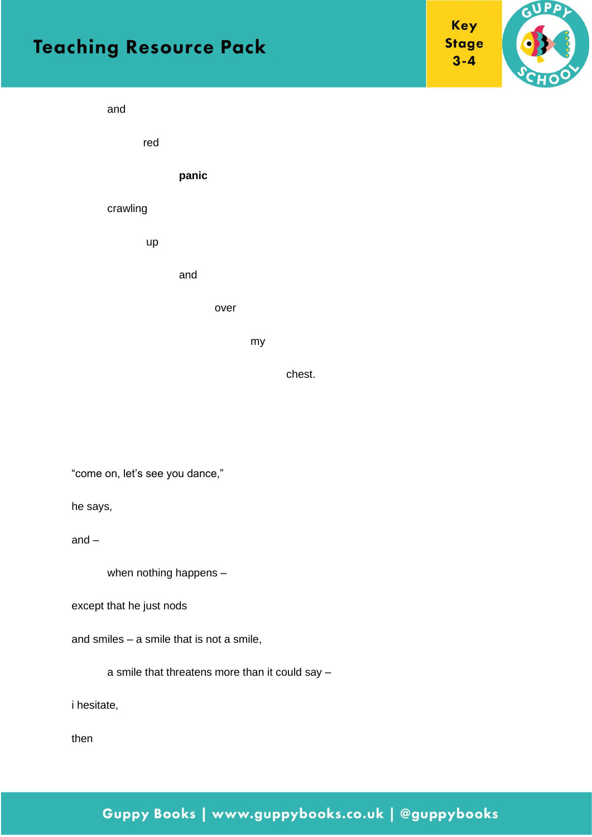

red

**panic**

#### crawling

up

and

over

my

chest.

GUPPY

Key

**Stage**  $3 - 4$ 

"come on, let's see you dance,"

he says,

and –

when nothing happens –

except that he just nods

and smiles – a smile that is not a smile,

a smile that threatens more than it could say –

i hesitate,

then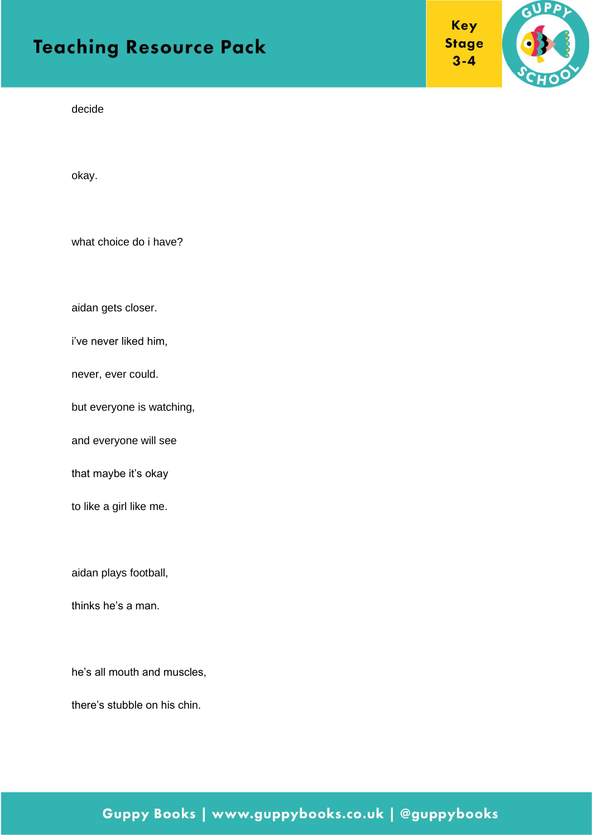GUPP

Key

**Stage**  $3 - 4$ 

decide

okay.

what choice do i have?

aidan gets closer.

i've never liked him,

never, ever could.

but everyone is watching,

and everyone will see

that maybe it's okay

to like a girl like me.

aidan plays football,

thinks he's a man.

he's all mouth and muscles,

there's stubble on his chin.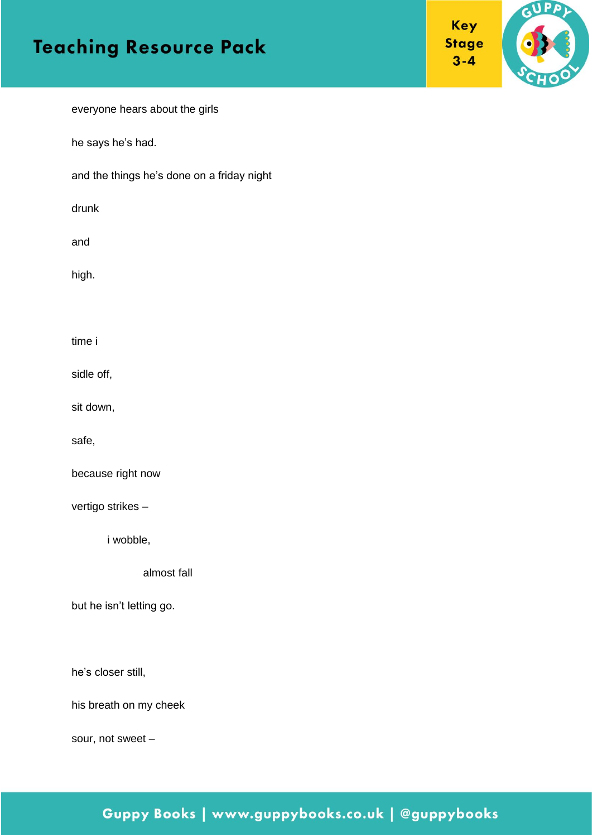

everyone hears about the girls

he says he's had.

and the things he's done on a friday night

drunk

and

high.

time i

sidle off,

sit down,

safe,

because right now

vertigo strikes –

i wobble,

almost fall

but he isn't letting go.

he's closer still,

his breath on my cheek

sour, not sweet –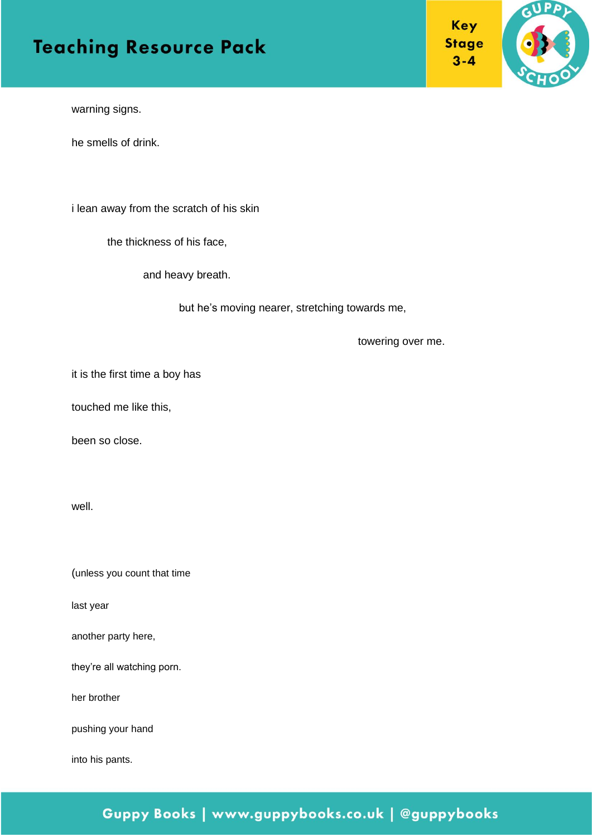

warning signs.

he smells of drink.

i lean away from the scratch of his skin

the thickness of his face,

and heavy breath.

but he's moving nearer, stretching towards me,

towering over me.

it is the first time a boy has

touched me like this,

been so close.

well.

(unless you count that time

last year

another party here,

they're all watching porn.

her brother

pushing your hand

into his pants.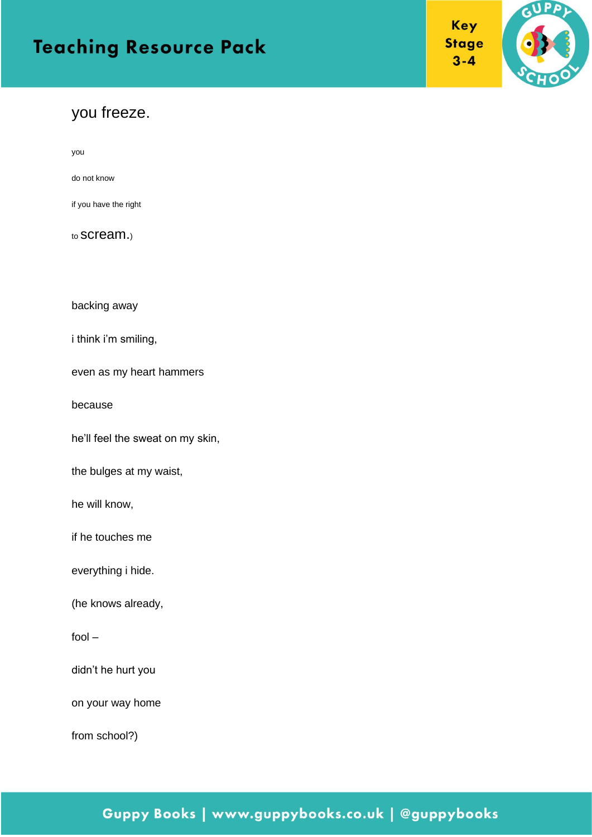#### you freeze.

you

do not know

if you have the right

to scream.)

backing away

i think i'm smiling,

even as my heart hammers

because

he'll feel the sweat on my skin,

the bulges at my waist,

he will know,

if he touches me

everything i hide.

(he knows already,

fool –

didn't he hurt you

on your way home

from school?)

## Guppy Books | www.guppybooks.co.uk | @guppybooks

Key **Stage**  $3 - 4$ 

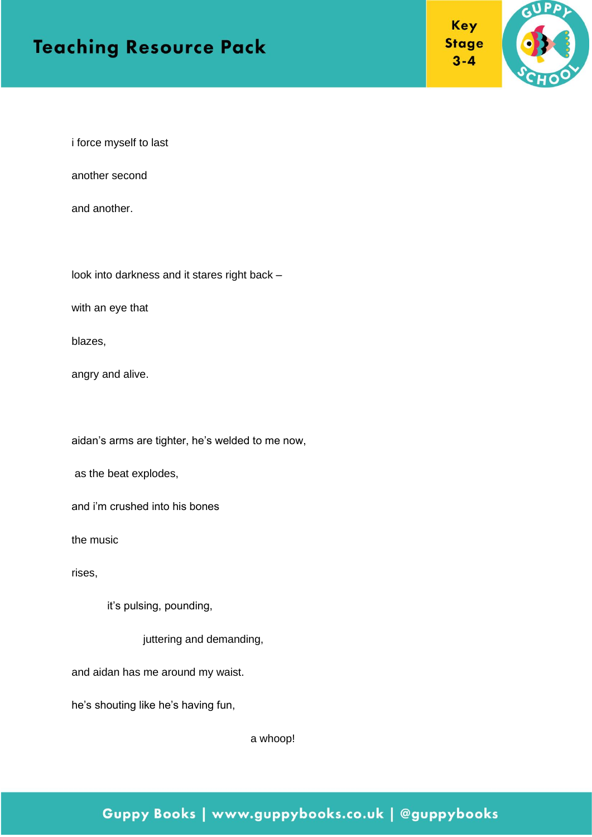



i force myself to last

another second

and another.

look into darkness and it stares right back –

with an eye that

blazes,

angry and alive.

aidan's arms are tighter, he's welded to me now,

as the beat explodes,

and i'm crushed into his bones

the music

rises,

it's pulsing, pounding,

juttering and demanding,

and aidan has me around my waist.

he's shouting like he's having fun,

a whoop!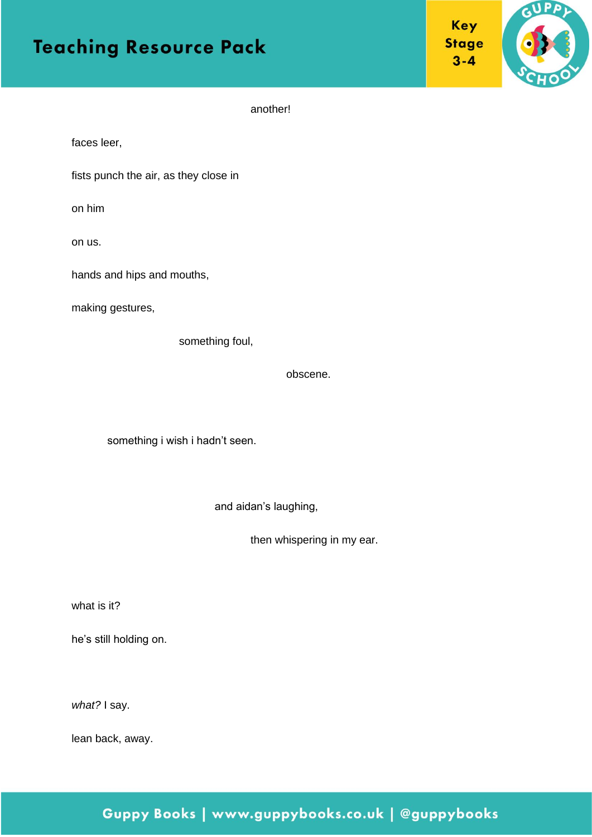



another!

faces leer,

fists punch the air, as they close in

on him

on us.

hands and hips and mouths,

making gestures,

something foul,

obscene.

something i wish i hadn't seen.

and aidan's laughing,

then whispering in my ear.

what is it?

he's still holding on.

*what?* I say.

lean back, away.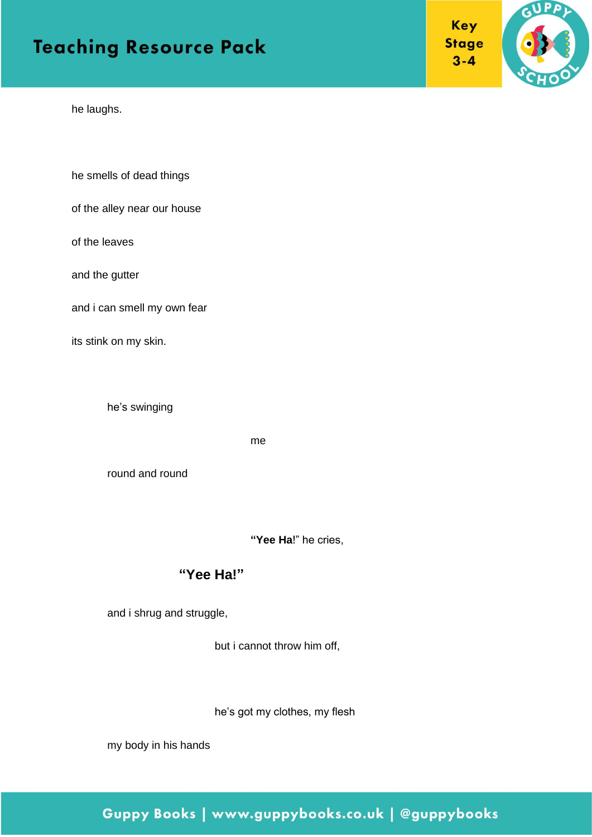he laughs.

he smells of dead things

of the alley near our house

of the leaves

and the gutter

and i can smell my own fear

its stink on my skin.

he's swinging

me

round and round

**"Yee Ha**!" he cries,

#### **"Yee Ha!"**

and i shrug and struggle,

but i cannot throw him off,

he's got my clothes, my flesh

my body in his hands



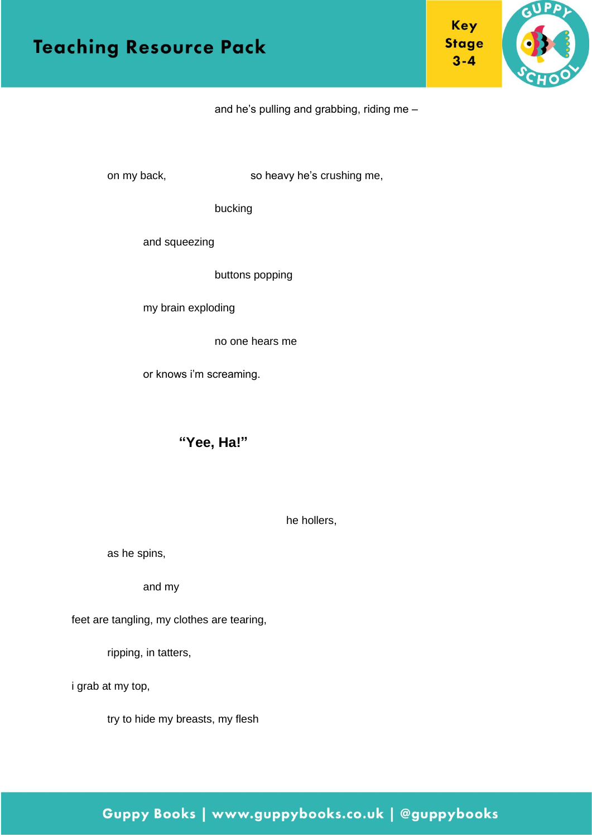

and he's pulling and grabbing, riding me –

on my back, so heavy he's crushing me,

bucking

and squeezing

buttons popping

my brain exploding

no one hears me

or knows i'm screaming.

#### **"Yee, Ha!"**

he hollers,

as he spins,

and my

feet are tangling, my clothes are tearing,

ripping, in tatters,

i grab at my top,

try to hide my breasts, my flesh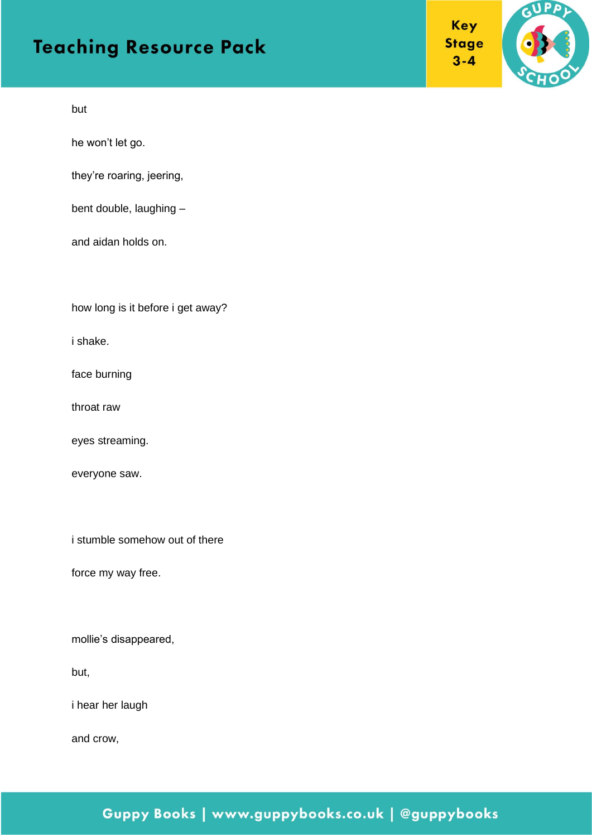Key **Stage**  $3 - 4$ 



but

he won't let go.

they're roaring, jeering,

bent double, laughing –

and aidan holds on.

how long is it before i get away?

i shake.

face burning

throat raw

eyes streaming.

everyone saw.

i stumble somehow out of there

force my way free.

mollie's disappeared,

but,

i hear her laugh

and crow,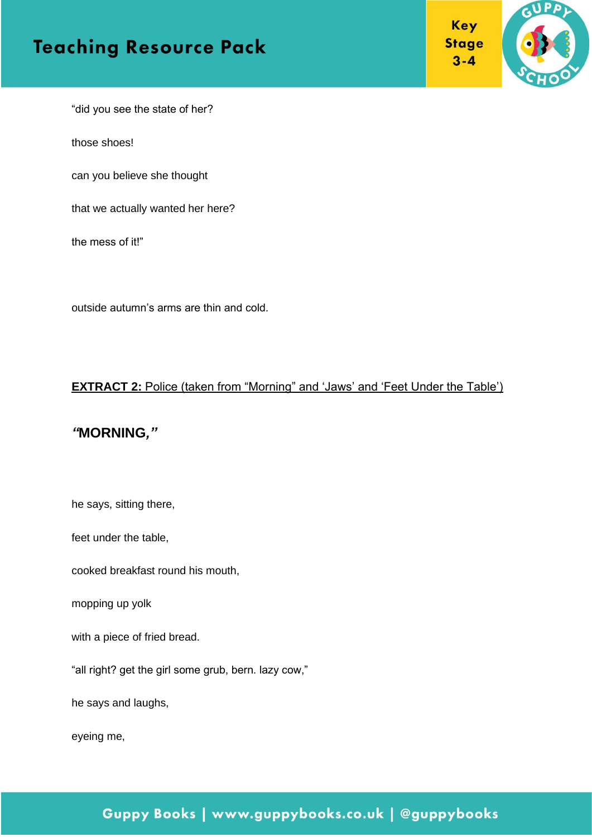

**Key** 

 $3 - 4$ 

"did you see the state of her?

those shoes!

can you believe she thought

that we actually wanted her here?

the mess of it!"

outside autumn's arms are thin and cold.

#### **EXTRACT 2:** Police (taken from "Morning" and 'Jaws' and 'Feet Under the Table')

#### *"***MORNING***,"*

he says, sitting there,

feet under the table,

cooked breakfast round his mouth,

mopping up yolk

with a piece of fried bread.

"all right? get the girl some grub, bern. lazy cow,"

he says and laughs,

eyeing me,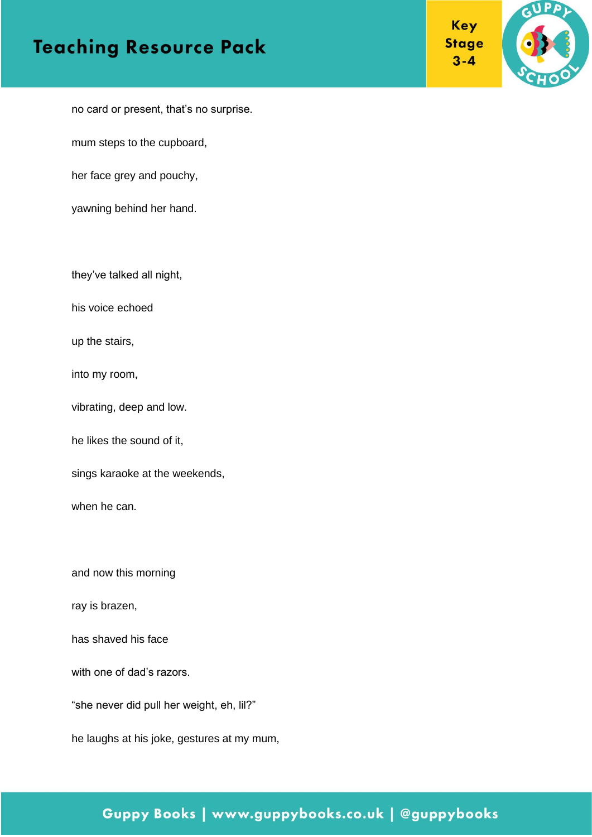GUPP

**Key** 

**Stage**  $3 - 4$ 

no card or present, that's no surprise.

mum steps to the cupboard,

her face grey and pouchy,

yawning behind her hand.

they've talked all night,

his voice echoed

up the stairs,

into my room,

vibrating, deep and low.

he likes the sound of it,

sings karaoke at the weekends,

when he can.

and now this morning

ray is brazen,

has shaved his face

with one of dad's razors.

"she never did pull her weight, eh, lil?"

he laughs at his joke, gestures at my mum,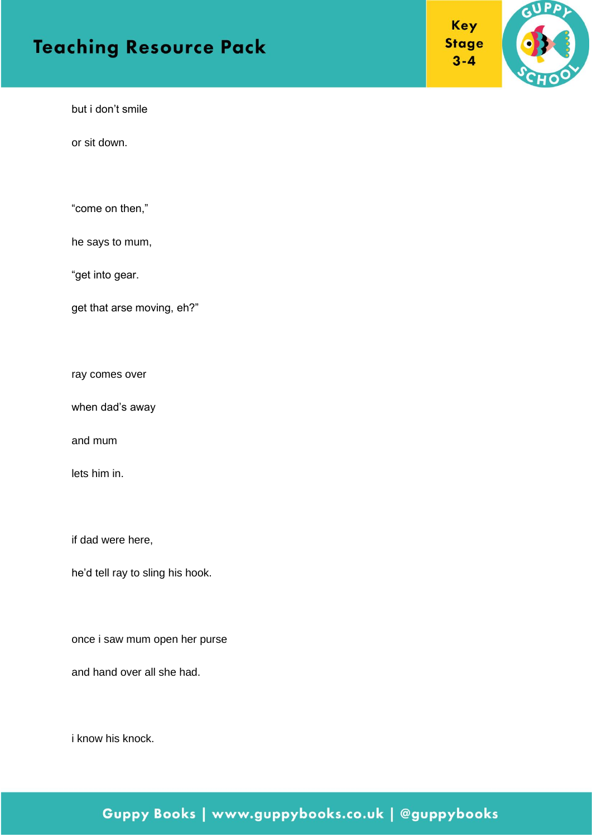Key **Stage**  $3 - 4$ 



but i don't smile

or sit down.

"come on then,"

he says to mum,

"get into gear.

get that arse moving, eh?"

ray comes over

when dad's away

and mum

lets him in.

if dad were here,

he'd tell ray to sling his hook.

once i saw mum open her purse

and hand over all she had.

i know his knock.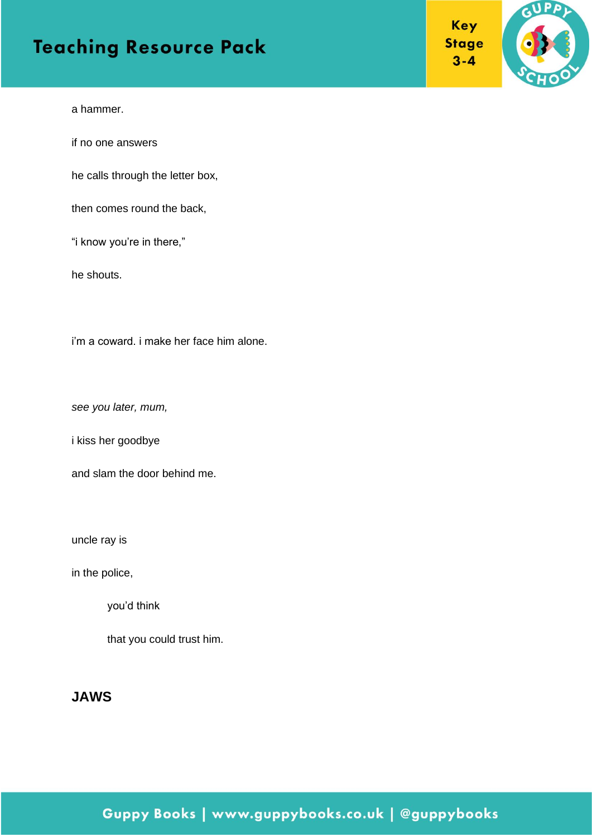Key **Stage**  $3 - 4$ 



a hammer.

if no one answers

he calls through the letter box,

then comes round the back,

"i know you're in there,"

he shouts.

i'm a coward. i make her face him alone.

*see you later, mum,* 

i kiss her goodbye

and slam the door behind me.

uncle ray is

in the police,

you'd think

that you could trust him.

#### **JAWS**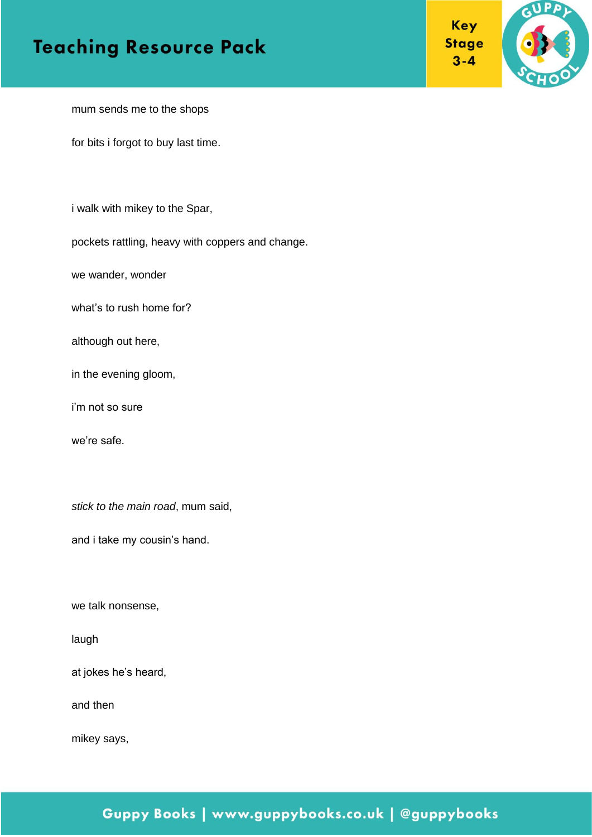



GUPP

mum sends me to the shops

for bits i forgot to buy last time.

i walk with mikey to the Spar,

pockets rattling, heavy with coppers and change.

we wander, wonder

what's to rush home for?

although out here,

in the evening gloom,

i'm not so sure

we're safe.

*stick to the main road*, mum said,

and i take my cousin's hand.

we talk nonsense,

laugh

at jokes he's heard,

and then

mikey says,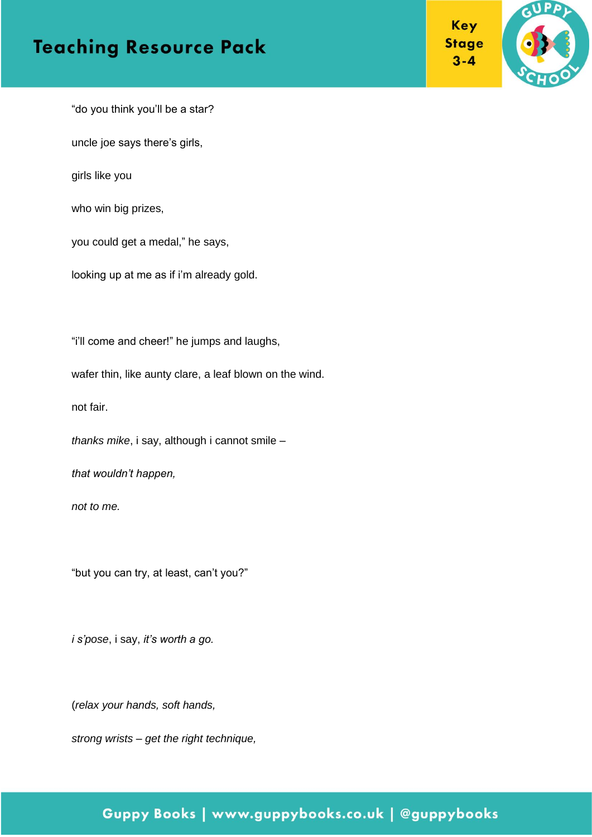



"do you think you'll be a star?

uncle joe says there's girls,

girls like you

who win big prizes,

you could get a medal," he says,

looking up at me as if i'm already gold.

"i'll come and cheer!" he jumps and laughs,

wafer thin, like aunty clare, a leaf blown on the wind.

not fair.

*thanks mike*, i say, although i cannot smile –

*that wouldn't happen,*

*not to me.*

"but you can try, at least, can't you?"

*i s'pose*, i say, *it's worth a go.*

(*relax your hands, soft hands,*

*strong wrists – get the right technique,*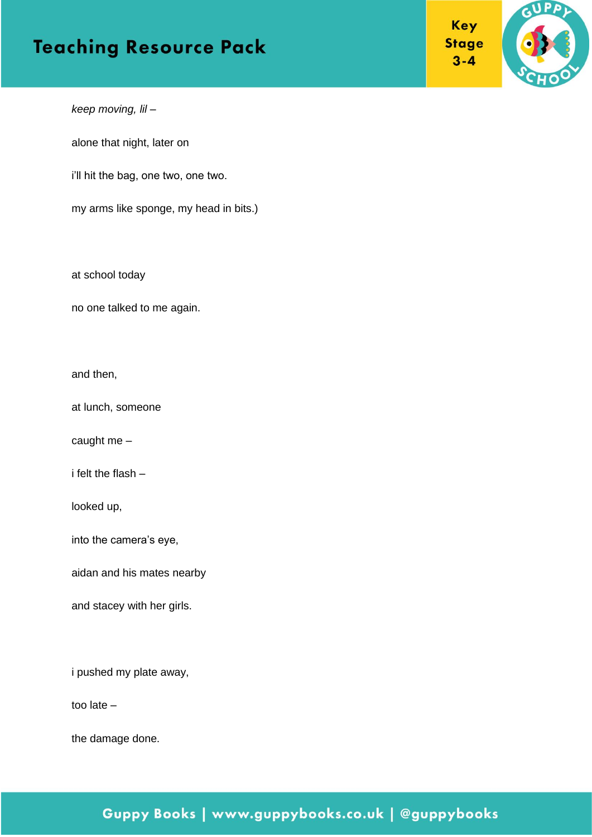



*keep moving, lil –*

alone that night, later on

i'll hit the bag, one two, one two.

my arms like sponge, my head in bits.)

at school today

no one talked to me again.

and then,

at lunch, someone

caught me –

i felt the flash –

looked up,

into the camera's eye,

aidan and his mates nearby

and stacey with her girls.

i pushed my plate away,

too late –

the damage done.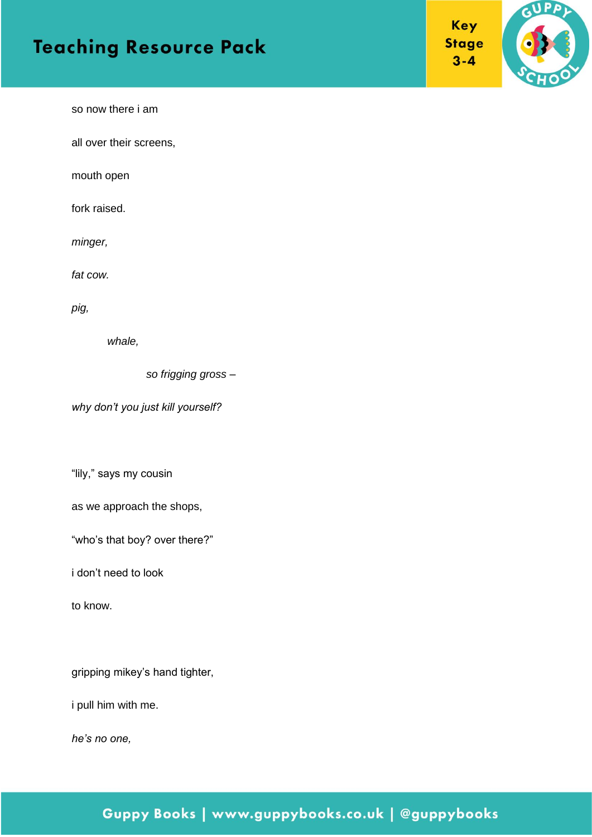



so now there i am

all over their screens,

mouth open

fork raised.

*minger,* 

*fat cow.* 

*pig,* 

*whale,*

*so frigging gross –*

*why don't you just kill yourself?*

"lily," says my cousin

as we approach the shops,

"who's that boy? over there?"

i don't need to look

to know.

gripping mikey's hand tighter,

i pull him with me.

*he's no one,*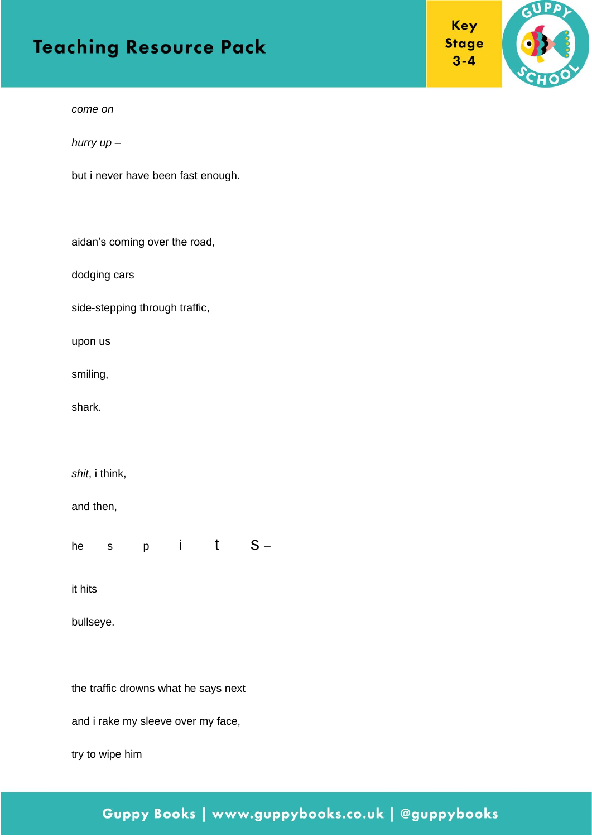



*come on*

*hurry up –*

but i never have been fast enough.

aidan's coming over the road,

dodging cars

side-stepping through traffic,

upon us

smiling,

shark.

*shit*, i think,

and then,

he s  $p$  i t  $S -$ 

it hits

bullseye.

the traffic drowns what he says next

and i rake my sleeve over my face,

try to wipe him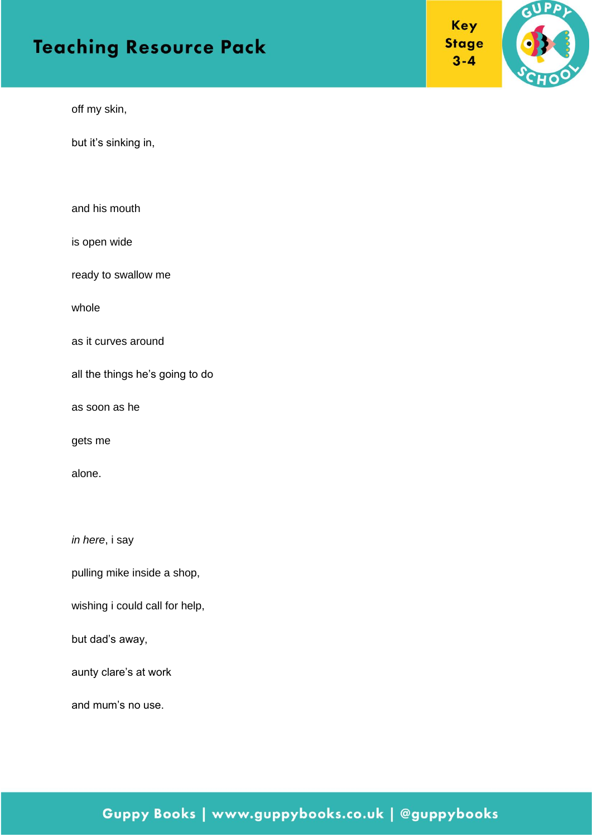**Key Stage**  $3 - 4$ 



off my skin,

but it's sinking in,

and his mouth

is open wide

ready to swallow me

whole

as it curves around

all the things he's going to do

as soon as he

gets me

alone.

*in here*, i say

pulling mike inside a shop,

wishing i could call for help,

but dad's away,

aunty clare's at work

and mum's no use.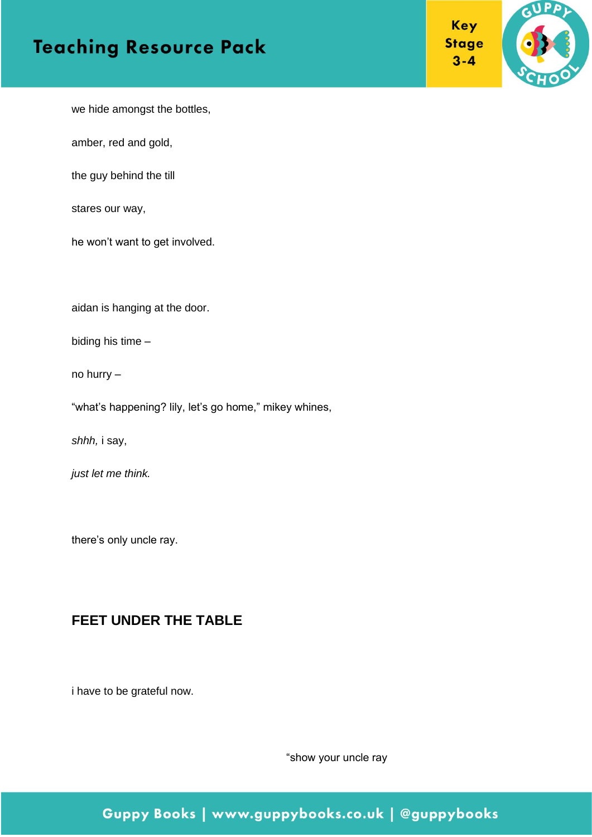



we hide amongst the bottles,

amber, red and gold,

the guy behind the till

stares our way,

he won't want to get involved.

aidan is hanging at the door.

biding his time –

no hurry –

"what's happening? lily, let's go home," mikey whines,

*shhh,* i say,

*just let me think.*

there's only uncle ray.

#### **FEET UNDER THE TABLE**

i have to be grateful now.

"show your uncle ray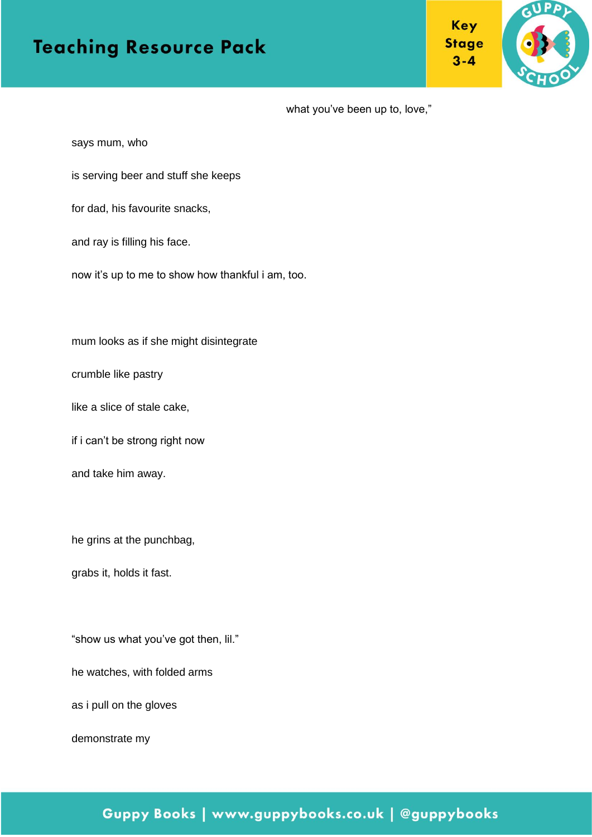**Key Stage**  $3 - 4$ 



what you've been up to, love,"

says mum, who

is serving beer and stuff she keeps

for dad, his favourite snacks,

and ray is filling his face.

now it's up to me to show how thankful i am, too.

mum looks as if she might disintegrate

crumble like pastry

like a slice of stale cake,

if i can't be strong right now

and take him away.

he grins at the punchbag,

grabs it, holds it fast.

"show us what you've got then, lil."

he watches, with folded arms

as i pull on the gloves

demonstrate my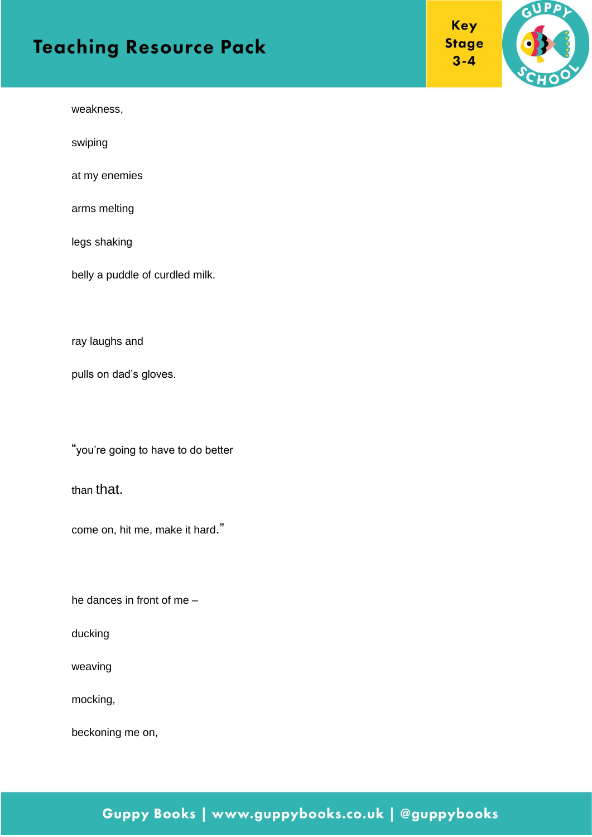weakness,

swiping

at my enemies

arms melting

legs shaking

belly a puddle of curdled milk.

ray laughs and

pulls on dad's gloves.

"you're going to have to do better

than that.

come on, hit me, make it hard."

he dances in front of me –

ducking

weaving

mocking,

beckoning me on,

#### Key **Stage**  $3 - 4$

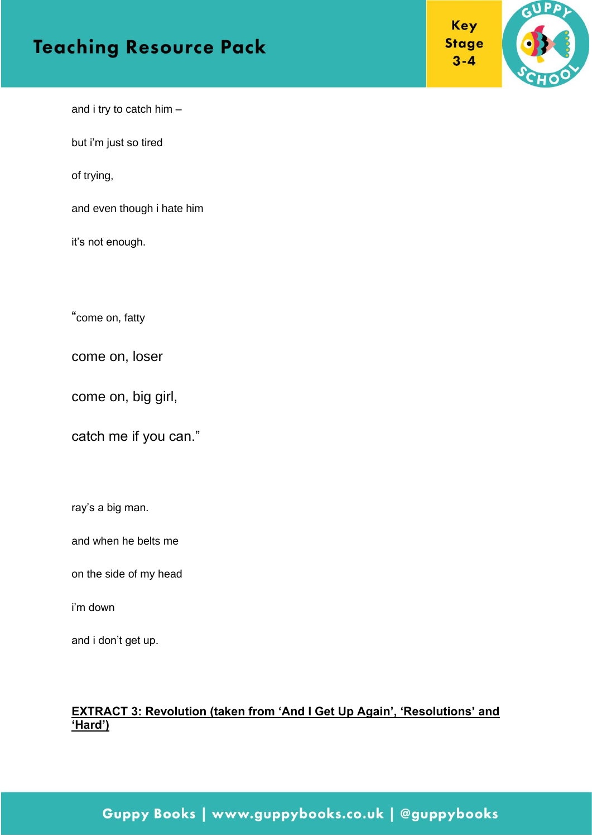



and i try to catch him –

but i'm just so tired

of trying,

and even though i hate him

it's not enough.

"come on, fatty

come on, loser

come on, big girl,

catch me if you can."

ray's a big man.

and when he belts me

on the side of my head

i'm down

and i don't get up.

#### **EXTRACT 3: Revolution (taken from 'And I Get Up Again', 'Resolutions' and 'Hard')**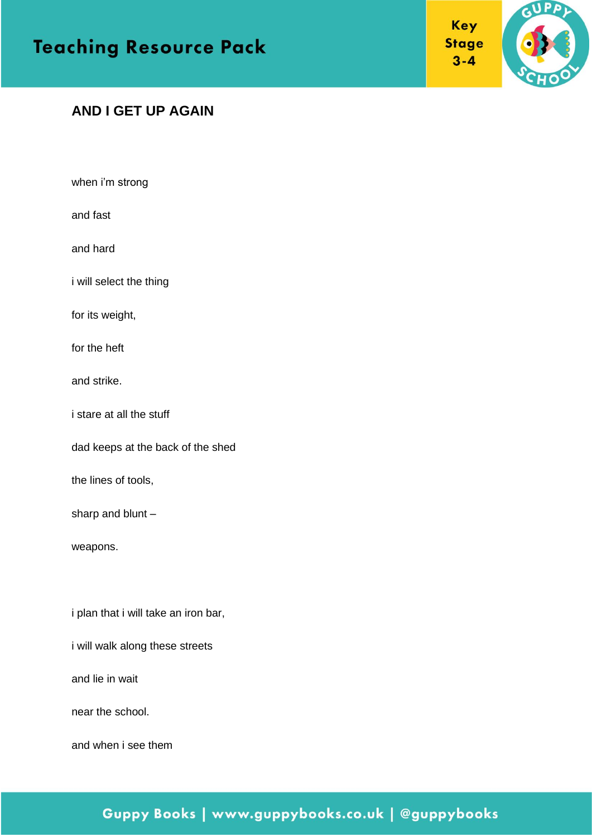





#### **AND I GET UP AGAIN**

when i'm strong

and fast

and hard

i will select the thing

for its weight,

for the heft

and strike.

i stare at all the stuff

dad keeps at the back of the shed

the lines of tools,

sharp and blunt –

weapons.

i plan that i will take an iron bar,

i will walk along these streets

and lie in wait

near the school.

and when i see them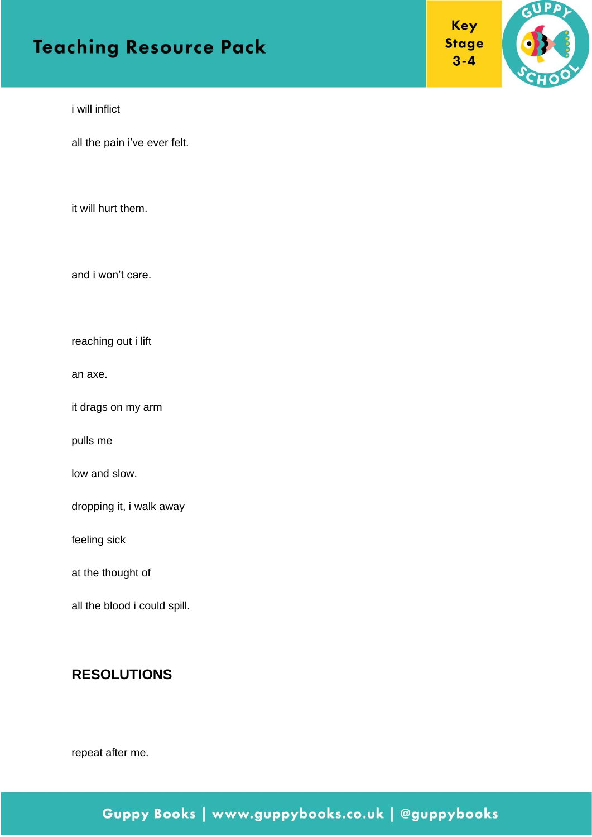Key **Stage**  $3 - 4$ 



i will inflict

all the pain i've ever felt.

it will hurt them.

and i won't care.

reaching out i lift

an axe.

it drags on my arm

pulls me

low and slow.

dropping it, i walk away

feeling sick

at the thought of

all the blood i could spill.

#### **RESOLUTIONS**

repeat after me.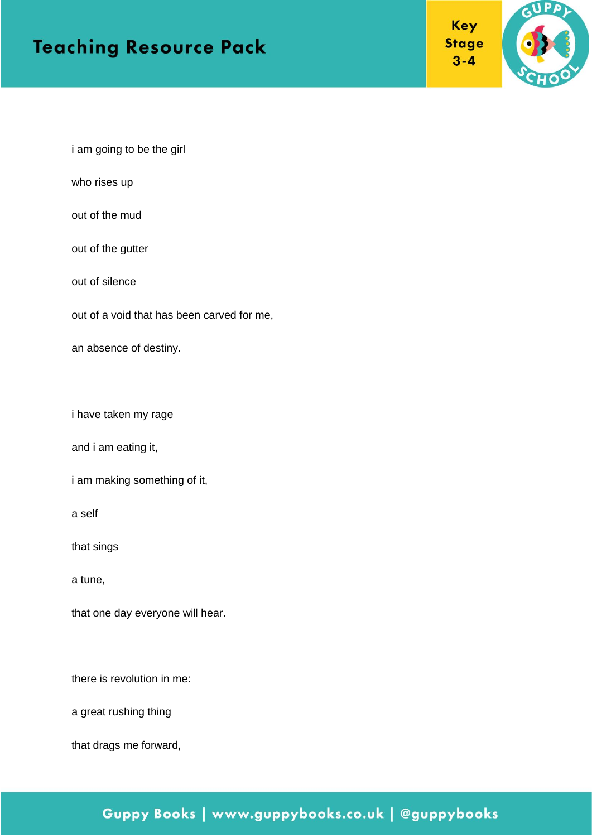



i am going to be the girl

who rises up

out of the mud

out of the gutter

out of silence

out of a void that has been carved for me,

an absence of destiny.

i have taken my rage

and i am eating it,

i am making something of it,

a self

that sings

a tune,

that one day everyone will hear.

there is revolution in me:

a great rushing thing

that drags me forward,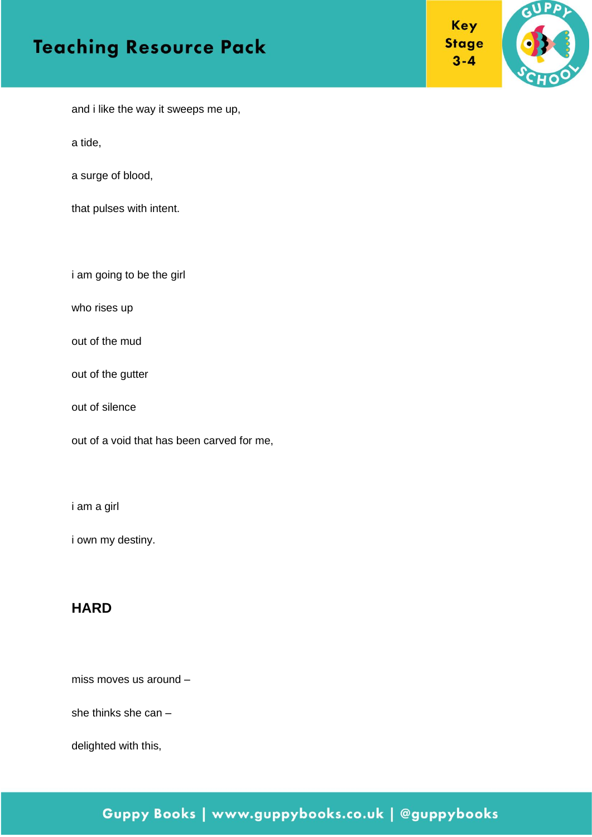



and i like the way it sweeps me up,

a tide,

a surge of blood,

that pulses with intent.

i am going to be the girl

who rises up

out of the mud

out of the gutter

out of silence

out of a void that has been carved for me,

i am a girl

i own my destiny.

#### **HARD**

miss moves us around –

she thinks she can –

delighted with this,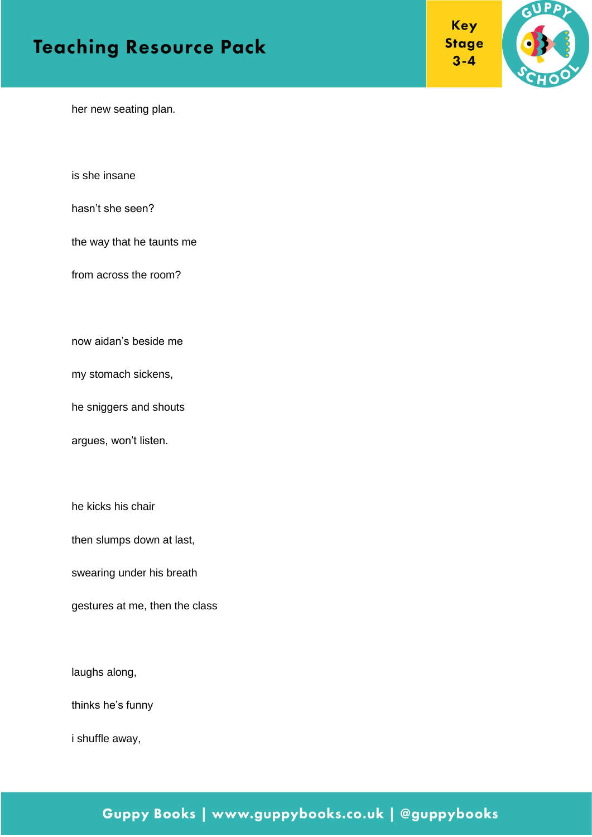**Key Stage**  $3 - 4$ 



her new seating plan.

is she insane

hasn't she seen?

the way that he taunts me

from across the room?

now aidan's beside me

my stomach sickens,

he sniggers and shouts

argues, won't listen.

he kicks his chair

then slumps down at last,

swearing under his breath

gestures at me, then the class

laughs along,

thinks he's funny

i shuffle away,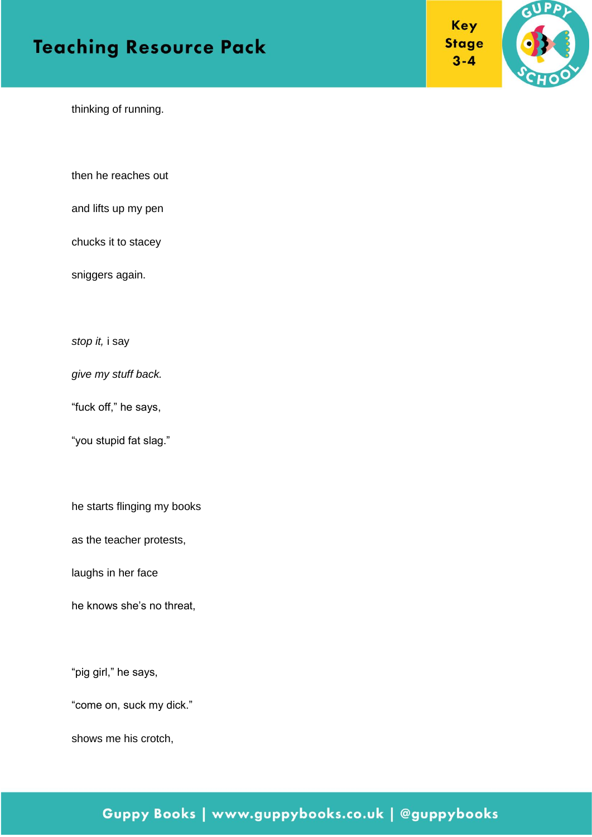**Key Stage**  $3 - 4$ 



thinking of running.

then he reaches out

and lifts up my pen

chucks it to stacey

sniggers again.

*stop it,* i say

*give my stuff back.*

"fuck off," he says,

"you stupid fat slag."

he starts flinging my books

as the teacher protests,

laughs in her face

he knows she's no threat,

"pig girl," he says,

"come on, suck my dick."

shows me his crotch,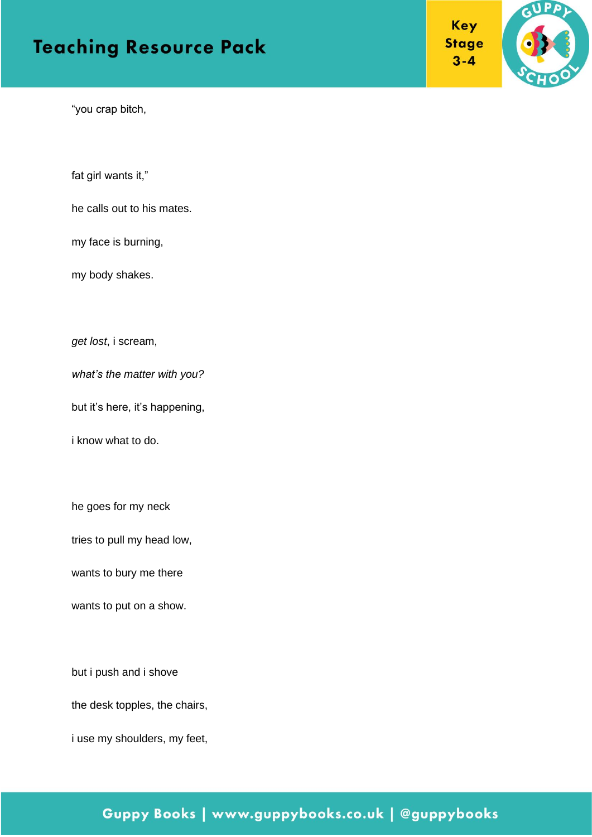**Key Stage**  $3 - 4$ 



"you crap bitch,

fat girl wants it,"

he calls out to his mates.

my face is burning,

my body shakes.

*get lost*, i scream,

*what's the matter with you?*

but it's here, it's happening,

i know what to do.

he goes for my neck

tries to pull my head low,

wants to bury me there

wants to put on a show.

but i push and i shove

the desk topples, the chairs,

i use my shoulders, my feet,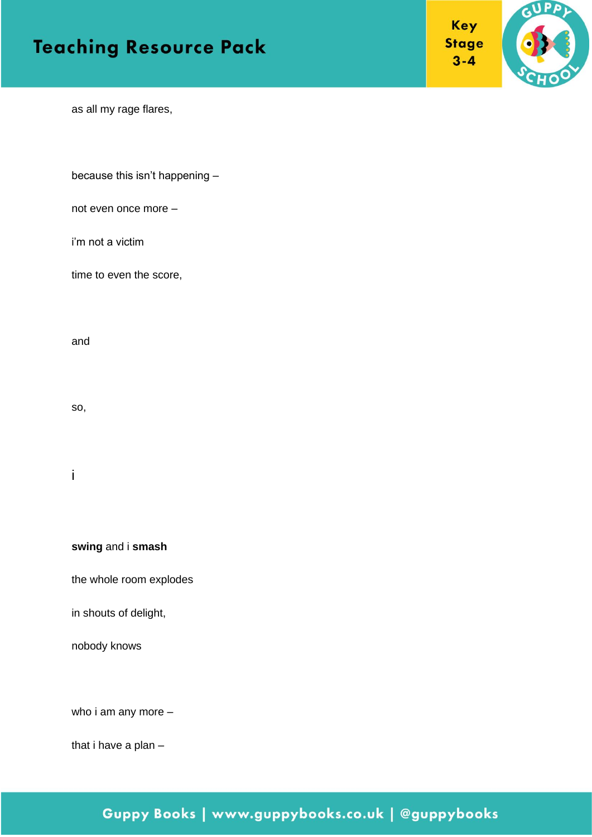



as all my rage flares,

because this isn't happening –

not even once more –

i'm not a victim

time to even the score,

and

so,

i

**swing** and i **smash**

the whole room explodes

in shouts of delight,

nobody knows

who i am any more –

that i have a plan –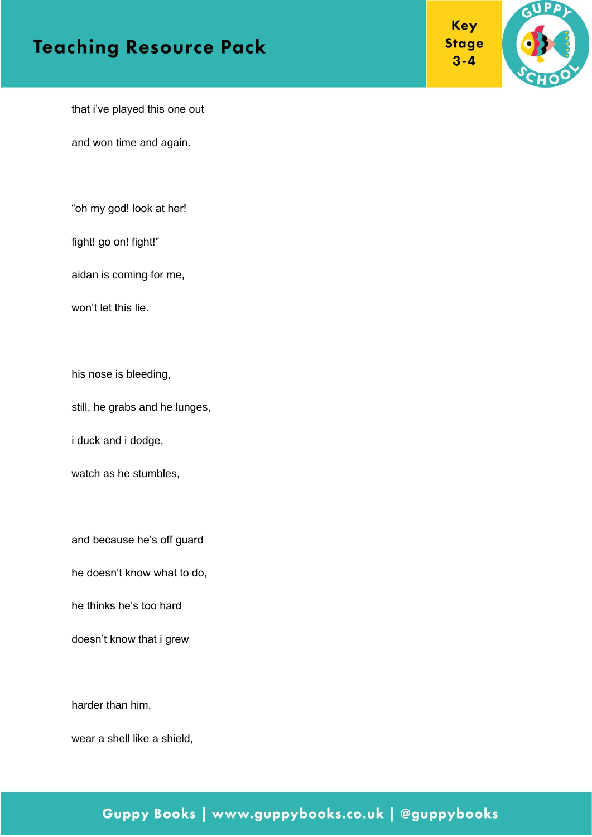



that i've played this one out

and won time and again.

"oh my god! look at her!

fight! go on! fight!"

aidan is coming for me,

won't let this lie.

his nose is bleeding,

still, he grabs and he lunges,

i duck and i dodge,

watch as he stumbles,

and because he's off guard

he doesn't know what to do,

he thinks he's too hard

doesn't know that i grew

harder than him,

wear a shell like a shield,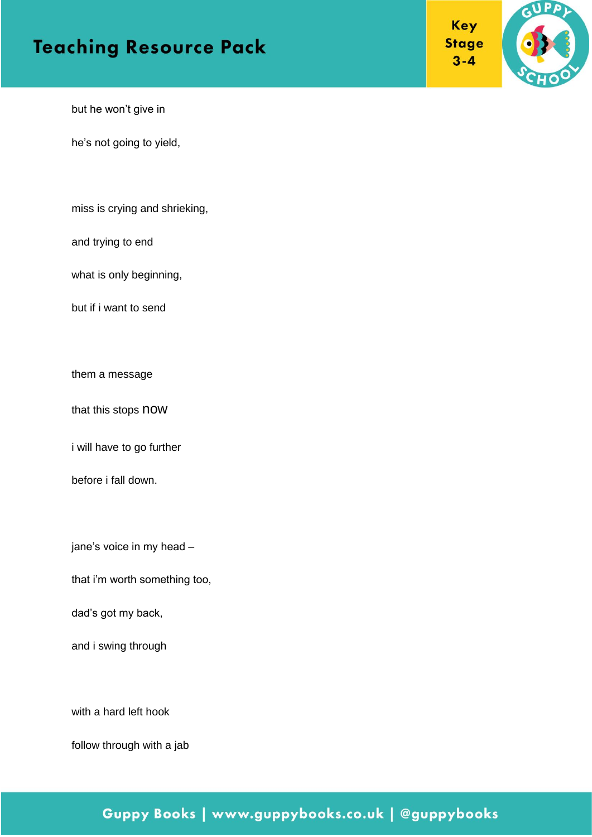



but he won't give in

he's not going to yield,

miss is crying and shrieking,

and trying to end

what is only beginning,

but if i want to send

them a message

that this stops now

i will have to go further

before i fall down.

jane's voice in my head –

that i'm worth something too,

dad's got my back,

and i swing through

with a hard left hook

follow through with a jab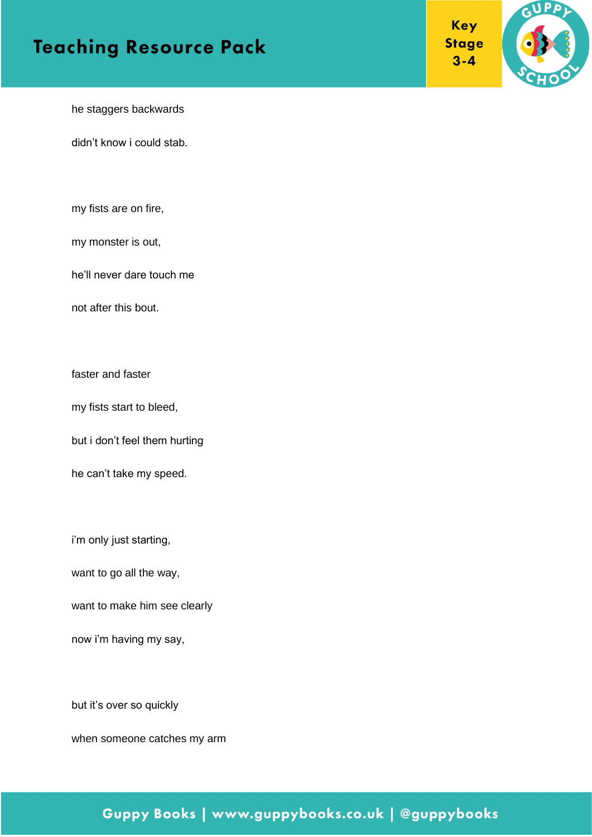



he staggers backwards

didn't know i could stab.

my fists are on fire,

my monster is out,

he'll never dare touch me

not after this bout.

faster and faster

my fists start to bleed,

but i don't feel them hurting

he can't take my speed.

i'm only just starting,

want to go all the way,

want to make him see clearly

now i'm having my say,

but it's over so quickly

when someone catches my arm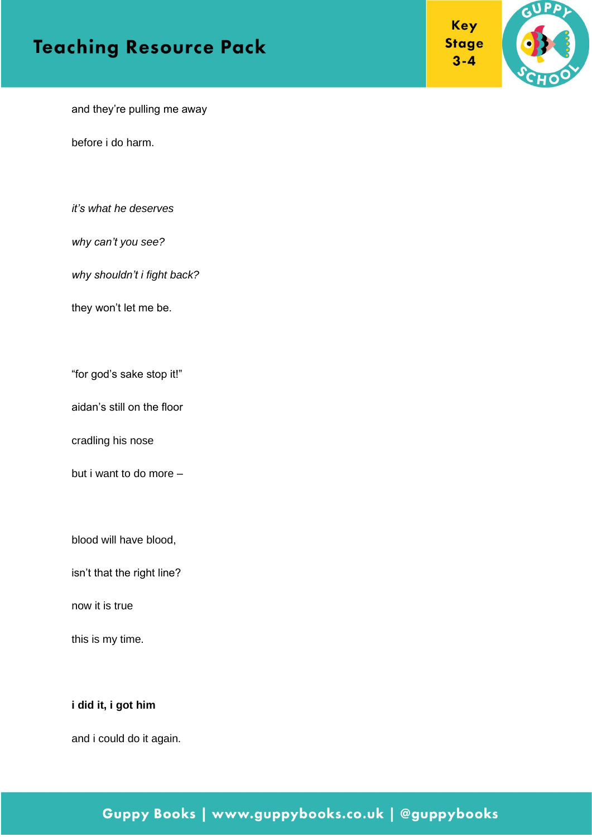



and they're pulling me away

before i do harm.

*it's what he deserves* 

*why can't you see?*

*why shouldn't i fight back?*

they won't let me be.

"for god's sake stop it!"

aidan's still on the floor

cradling his nose

but i want to do more –

blood will have blood,

isn't that the right line?

now it is true

this is my time.

#### **i did it, i got him**

and i could do it again.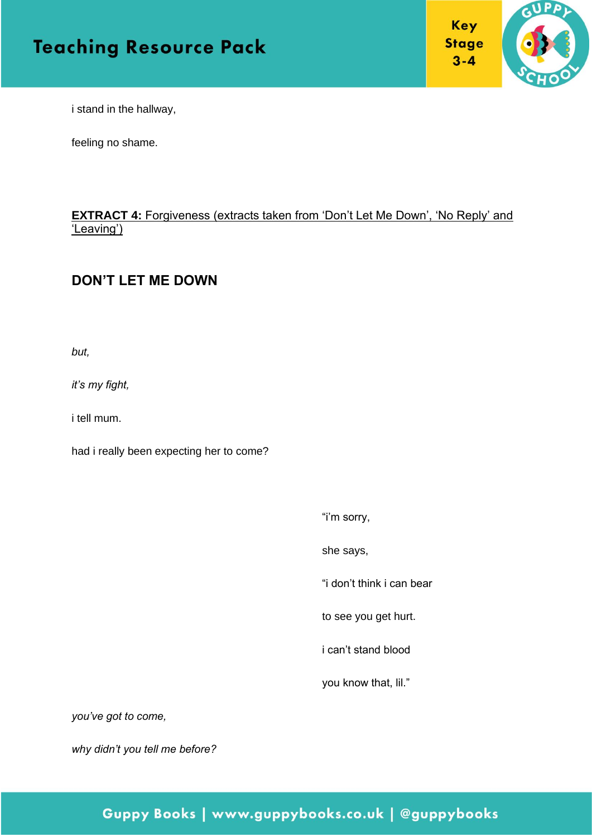



i stand in the hallway,

feeling no shame.

#### **EXTRACT 4: Forgiveness (extracts taken from 'Don't Let Me Down', 'No Reply' and** 'Leaving')

#### **DON'T LET ME DOWN**

*but,* 

*it's my fight,* 

i tell mum.

had i really been expecting her to come?

"i'm sorry,

she says,

"i don't think i can bear

to see you get hurt.

i can't stand blood

you know that, lil."

*you've got to come,*

*why didn't you tell me before?*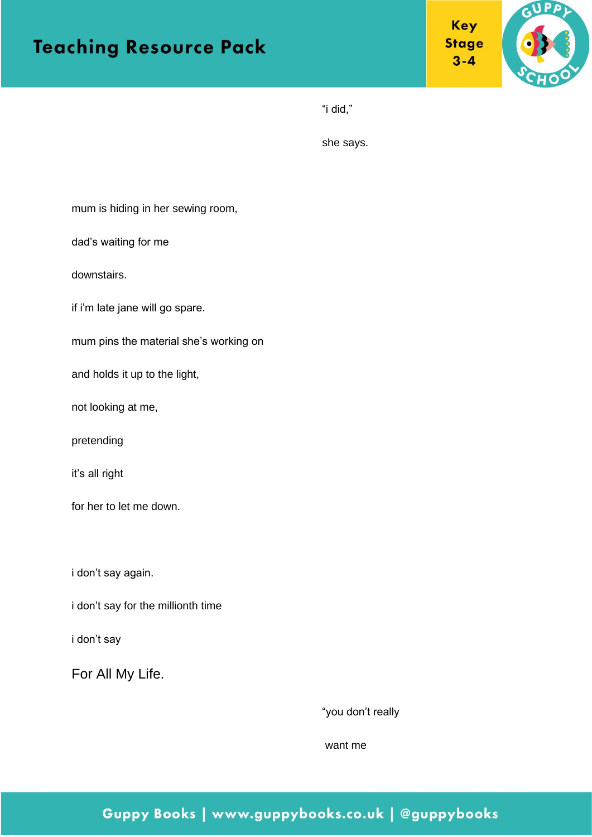



"i did,"

she says.

mum is hiding in her sewing room,

dad's waiting for me

downstairs.

if i'm late jane will go spare.

mum pins the material she's working on

and holds it up to the light,

not looking at me,

pretending

it's all right

for her to let me down.

i don't say again.

i don't say for the millionth time

i don't say

For All My Life.

"you don't really

want me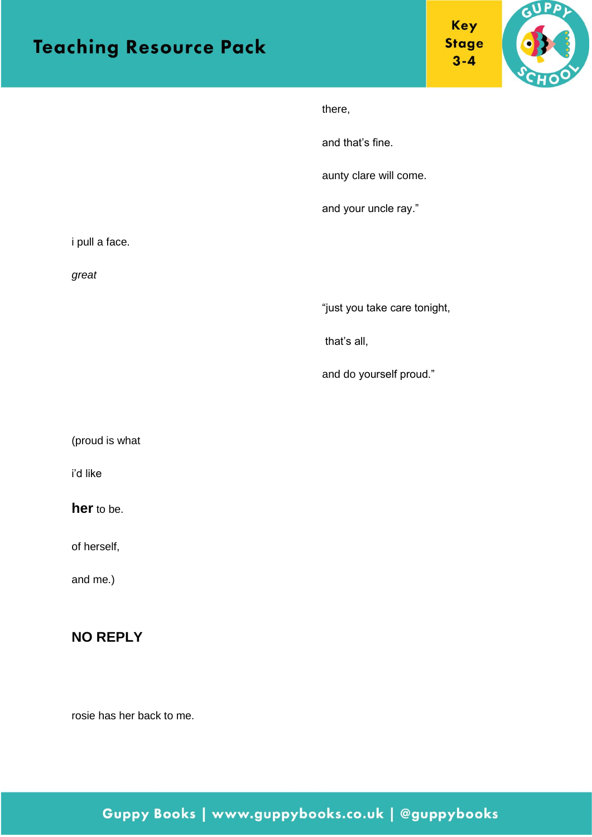



|                | there,                       |
|----------------|------------------------------|
|                | and that's fine.             |
|                | aunty clare will come.       |
|                | and your uncle ray."         |
| i pull a face. |                              |
| great          |                              |
|                | "just you take care tonight, |
|                | that's all,                  |
|                | and do yourself proud."      |
|                |                              |
| (proud is what |                              |
| i'd like       |                              |
| her to be.     |                              |
| of herself,    |                              |
| and me.)       |                              |
|                |                              |

#### **NO REPLY**

rosie has her back to me.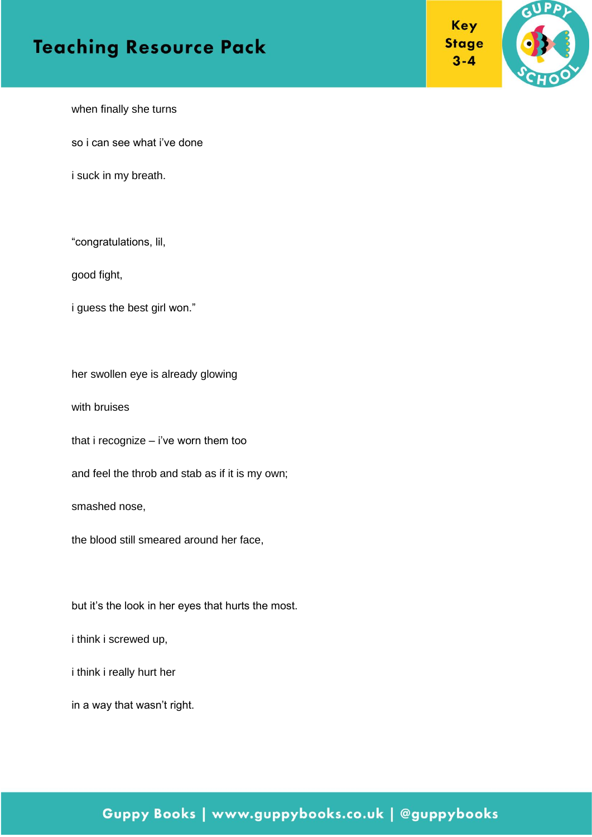



when finally she turns

so i can see what i've done

i suck in my breath.

"congratulations, lil,

good fight,

i guess the best girl won."

her swollen eye is already glowing

with bruises

that i recognize – i've worn them too

and feel the throb and stab as if it is my own;

smashed nose,

the blood still smeared around her face,

but it's the look in her eyes that hurts the most.

i think i screwed up,

i think i really hurt her

in a way that wasn't right.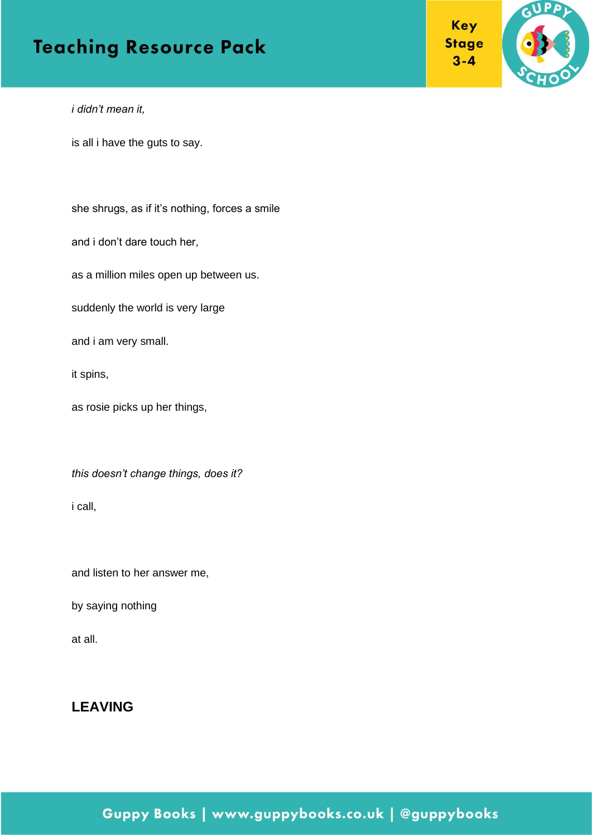



*i didn't mean it,*

is all i have the guts to say.

she shrugs, as if it's nothing, forces a smile

and i don't dare touch her,

as a million miles open up between us.

suddenly the world is very large

and i am very small.

it spins,

as rosie picks up her things,

*this doesn't change things, does it?*

i call,

and listen to her answer me,

by saying nothing

at all.

#### **LEAVING**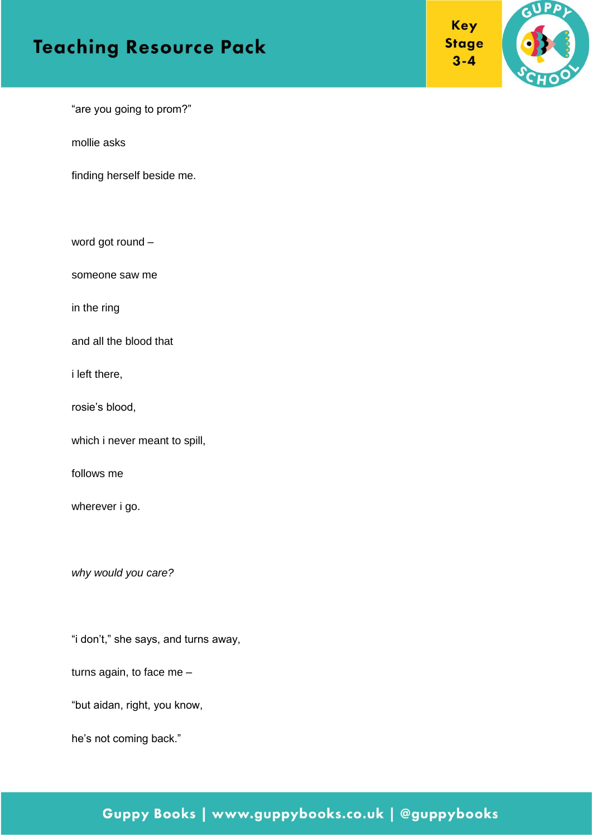



"are you going to prom?"

mollie asks

finding herself beside me.

word got round –

someone saw me

in the ring

and all the blood that

i left there,

rosie's blood,

which i never meant to spill,

follows me

wherever i go.

*why would you care?*

"i don't," she says, and turns away,

turns again, to face me –

"but aidan, right, you know,

he's not coming back."